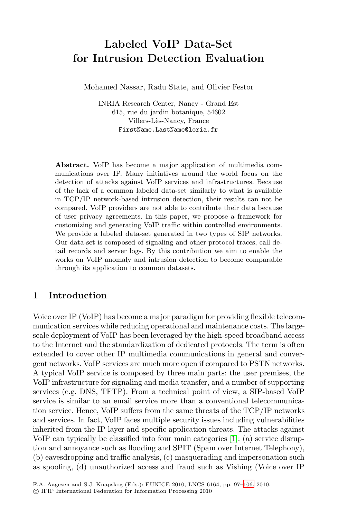# **Labeled VoIP Data-Set for Intrusion Detection Evaluation**

Mohamed Nassar, Radu State, and Olivier Festor

INRIA Research Center, Nancy - Grand Est 615, rue du jardin botanique, 54602 Villers-Lès-Nancy, France FirstName.LastName@loria.fr

**Abstract.** VoIP has become a major application of multimedia communications over IP. Many initiatives around the world focus on the detection of attacks against VoIP services and infrastructures. Because of the lack of a common labeled data-set similarly to what is available in TCP/IP network-based intrusion detection, their results can not be compared. VoIP providers are not able to contribute their data because of user privacy agreements. In this paper, we propose a framework for customizing and generating VoIP traffic within controlled environments. We provide a labeled data-set generated in two types of SIP networks. Our data-set is composed of signaling and other protocol traces, call detail records and server logs. By this contribution we aim to enable the works on VoIP anomaly and intrusion detection to become comparable through its application to common datasets.

# **1 Introduction**

Voice over IP (VoIP) has become a major paradigm for providing flexible telecommunication services while reducing operational and maintenance costs. The largescale deployment of VoIP has been leveraged by the high-speed broadband access to the Internet and the standardization of dedicated protocols. The term is often extended to cover other IP multimedia communications in general and convergent networks. VoIP services are much [mo](#page-8-0)re open if compared to PSTN networks. A typical VoIP service is composed by three main parts: the user premises, the VoIP infrastructure for signaling and media transfer, and a number of supporting services (e.g. DNS, TFTP). From a technical point of view, a SIP-based VoIP service is similar to an email service more than a conventional telecommunication service. Hence, VoIP suffers from the [sam](#page-9-0)e threats of the TCP/IP networks and services. In fact, VoIP faces multiple security issues including vulnerabilities inherited from the IP layer and specific application threats. The attacks against VoIP can typically be classified into four main categories [1]: (a) service disruption and annoyance such as flooding and SPIT (Spam over Internet Telephony), (b) eavesdropping and traffic analysis, (c) masquerading and impersonation such as spoofing, (d) unauthorized access and fraud such as Vishing (Voice over IP

F.A. Aagesen and S.J. Knapskog (Eds.): EUNICE 2010, LNCS 6164, pp. 97–106, 2010.

<sup>-</sup>c IFIP International Federation for Information Processing 2010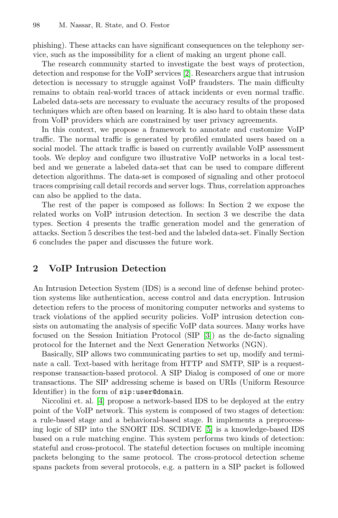phishing). These attacks can have significant consequences on the telephony service, such as the impossibility for a client of making an urgent phone call.

The research community started to investigate the best ways of protection, detection and response for the VoIP services [2]. Researchers argue that intrusion detection is necessary to struggle against VoIP fraudsters. The main difficulty remains to obtain real-world traces of attack incidents or even normal traffic. Labeled data-sets are necessary to evaluate the accuracy results of the proposed techniques which are often based on learning. It is also hard to obtain these data from VoIP providers which are constrained by user privacy agreements.

In this context, we propose a framework to annotate and customize VoIP traffic. The normal traffic is generated by profiled emulated users based on a social model. The attack traffic is based on currently available VoIP assessment tools. We deploy and configure two illustrative VoIP networks in a local testbed and we generate a labeled data-set that can be used to compare different detection algorithms. The data-set is composed of signaling and other protocol traces comprising call detail records and server logs. Thus, correlation approaches can also be applied to the data.

The rest of the paper is composed as follows: In Section 2 we expose the related works on VoIP intrusion detection. In section 3 we describe the data types. Section 4 presents the traffic generation model and the generation of attacks. Section 5 describes the test-bed and the labeled data-set. Finally Section 6 concludes the paper and discusses the future work.

# **2 VoIP Intrusion Det[ec](#page-8-1)tion**

An Intrusion Detection System (IDS) is a second line of defense behind protection systems like authentication, access control and data encryption. Intrusion detection refers to the process of monitoring computer networks and systems to track violations of the applied security policies. VoIP intrusion detection con[sis](#page-8-2)ts on automating the analysis of specific VoIP data sources. Many works have focused on the Session Initiation Protocol (SIP [3]) as the de-facto signaling protocol for the Internet and the Next Generation Networks (NGN).

Basically, SIP allows two co[mm](#page-8-3)unicating parties to set up, modify and terminate a call. Text-based with heritage from HTTP and SMTP, SIP is a requestresponse transaction-based protocol. A SIP Dialog is composed of one or more transactions. The SIP addressing scheme is based on URIs (Uniform Resource Identifier) in the form of sip:user@domain.

Niccolini et. al. [4] propose a network-based IDS to be deployed at the entry point of the VoIP network. This system is composed of two stages of detection: a rule-based stage and a behavioral-based stage. It implements a preprocessing logic of SIP into the SNORT IDS. SCIDIVE [5] is a knowledge-based IDS based on a rule matching engine. This system performs two kinds of detection: stateful and cross-protocol. The stateful detection focuses on multiple incoming packets belonging to the same protocol. The cross-protocol detection scheme spans packets from several protocols, e.g. a pattern in a SIP packet is followed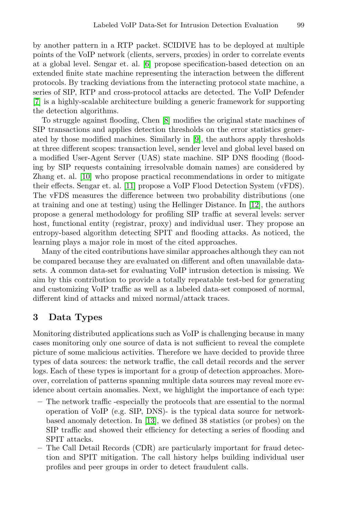by another pattern [in](#page-9-1) a RTP packet. SCIDIVE has to be deployed at multiple points of the VoIP network (clients, servers, proxies) in order to correlate events at a global level. Sengar et. [a](#page-9-2)l. [6] propose specification-based detection on an extended finite state machine representing the interaction between the different protocols. By tracking deviations from the interacting protocol state machine, a series of SIP, RTP and cross-protocol attacks are detected. The VoIP Defender [7] is a highly-scalable architecture building a generic framework for supporting the det[ectio](#page-9-3)n algorithms.

To struggle against flooding, Chen [8] modifies the original state machines of SIP transactions and applies detection thres[hol](#page-9-4)ds on the error statistics generated by those modified machines. Similarly in [9], the authors apply thresholds at three different scopes: transaction level, sender level and global level based on a modified User-Agent Server (UAS) state machine. SIP DNS flooding (flooding by SIP requests containing irresolvable domain names) are considered by Zhang et. al. [10] who propose practical recommendations in order to mitigate their effects. Sengar et. al. [11] propose a VoIP Flood Detection System (vFDS). The vFDS measures the difference between two probability distributions (one at training and one at testing) using the Hellinger Distance. In [12], the authors propose a general methodology for profiling SIP traffic at several levels: server host, functional entity (registrar, proxy) and individual user. They propose an entropy-based algorithm detecting SPIT and flooding attacks. As noticed, the learning plays a major role in most of the cited approaches.

Many of the cited contributions have similar approaches although they can not be compared because they are evaluated on different and often unavailable datasets. A common data-set for evaluating VoIP intrusion detection is missing. We aim by this contribution to provide a totally repeatable test-bed for generating and customizing VoIP traffic as well as a labeled data-set composed of normal, different kind of attacks and mixed normal/attack traces.

## **3 Data Types**

Monitoring distributed applications such as VoIP is challenging because in many cases monitoring only one source of data is not sufficient to reveal the complete picture of so[me](#page-9-5) [m](#page-9-5)alicious activities. Therefore we have decided to provide three types of data sources: the network traffic, the call detail records and the server logs. Each of these types is important for a group of detection approaches. Moreover, correlation of patterns spanning multiple data sources may reveal more evidence about certain anomalies. Next, we highlight the importance of each type:

- **–** The network traffic -especially the protocols that are essential to the normal operation of VoIP (e.g. SIP, DNS)- is the typical data source for networkbased anomaly detection. In [13], we defined 38 statistics (or probes) on the SIP traffic and showed their efficiency for detecting a series of flooding and SPIT attacks.
- **–** The Call Detail Records (CDR) are particularly important for fraud detection and SPIT mitigation. The call history helps building individual user profiles and peer groups in order to detect fraudulent calls.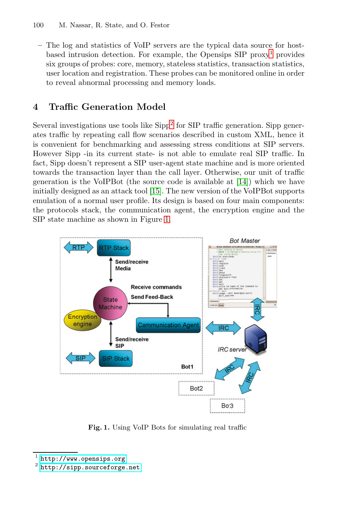**–** The log and statistics of VoIP servers are the typical data source for hostbased intrusion [de](#page-3-0)tection. For example, the Opensips  $\text{SIP}$  proxy<sup>1</sup> provides six groups of probes: core, memory, stateless statistics, transaction statistics, user location and registration. These probes can be monitored online in order to reveal abnormal processing and memory loads.

# **4 Traffic Generation Model**

Several investig[atio](#page-9-6)ns use tools like  $Sipp<sup>2</sup>$  for SIP traffic generation. Sipp generates traffic by repeating call flow scenarios described in custom XML, hence it is convenient for b[en](#page-3-1)chmarking and assessing stress conditions at SIP servers. However Sipp -in its current state- is not able to emulate real SIP traffic. In fact, Sipp doesn't represent a SIP user-agent state machine and is more oriented towards the transaction layer than the call layer. Otherwise, our unit of traffic generation is the VoIPBot (the source code is available at [14]) which we have initially designed as an attack tool [15]. The new version of the VoIPBot supports emulation of a normal user profile. Its design is based on four main components: the protocols stack, the communication agent, the encryption engine and the SIP state machine as shown in Figure 1.



**Fig. 1.** Using VoIP Bots for simulating real traffic

<span id="page-3-1"></span><span id="page-3-0"></span>http://www.opensips.org

<sup>2</sup> http://sipp.sourceforge.net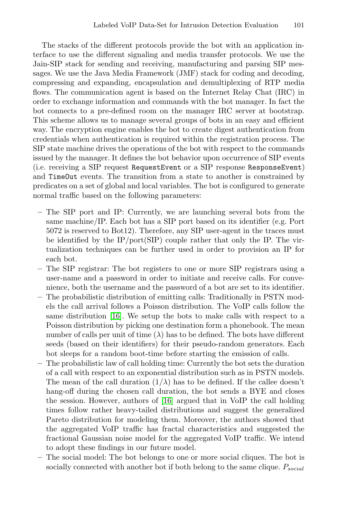The stacks of the different protocols provide the bot with an application interface to use the different signaling and media transfer protocols. We use the Jain-SIP stack for sending and receiving, manufacturing and parsing SIP messages. We use the Java Media Framework (JMF) stack for coding and decoding, compressing and expanding, encapsulation and demultiplexing of RTP media flows. The communication agent is based on the Internet Relay Chat (IRC) in order to exchange information and commands with the bot manager. In fact the bot connects to a pre-defined room on the manager IRC server at bootstrap. This scheme allows us to manage several groups of bots in an easy and efficient way. The encryption engine enables the bot to create digest authentication from credentials when authentication is required within the registration process. The SIP state machine drives the operations of the bot with respect to the commands issued by the manager. It defines the bot behavior upon occurrence of SIP events (i.e. receiving a SIP request RequestEvent or a SIP response ResponseEvent) and TimeOut events. The transition from a state to another is constrained by predicates on a set of global and local variables. The bot is configured to generate normal traffic based on the following parameters:

- **–** The SIP port and IP: Currently, we are launching several bots from the same machine/IP. Each bot has a SIP port based on its identifier (e.g. Port 5072 is reserved to Bot12). Therefore, any SIP user-agent in the traces must [be](#page-9-7) identified by the IP/port(SIP) couple rather that only the IP. The virtualization techniques can be further used in order to provision an IP for each bot.
- **–** The SIP registrar: The bot registers to one or more SIP registrars using a user-name and a password in order to initiate and receive calls. For convenience, both the username and the password of a bot are set to its identifier.
- **–** The probabilistic distribution of emitting calls: Traditionally in PSTN models the call arrival follows a Poisson distribution. The VoIP calls follow the same distribution [16]. We setup the bots to make calls with respect to a Poisson distrib[utio](#page-9-7)n by picking one destination form a phonebook. The mean number of calls per unit of time  $(\lambda)$  has to be defined. The bots have different seeds (based on their identifiers) for their pseudo-random generators. Each bot sleeps for a random boot-time before starting the emission of calls.
- **–** The probabilistic law of call holding time: Currently the bot sets the duration of a call with respect to an exponential distribution such as in PSTN models. The mean of the call duration  $(1/\lambda)$  has to be defined. If the callee doesn't hang-off during the chosen call duration, the bot sends a BYE and closes the session. However, authors of [16] argued that in VoIP the call holding times follow rather heavy-tailed distributions and suggest the generalized Pareto distribution for modeling them. Moreover, the authors showed that the aggregated VoIP traffic has fractal characteristics and suggested the fractional Gaussian noise model for the aggregated VoIP traffic. We intend to adopt these findings in our future model.
- **–** The social model: The bot belongs to one or more social cliques. The bot is socially connected with another bot if both belong to the same clique. P*social*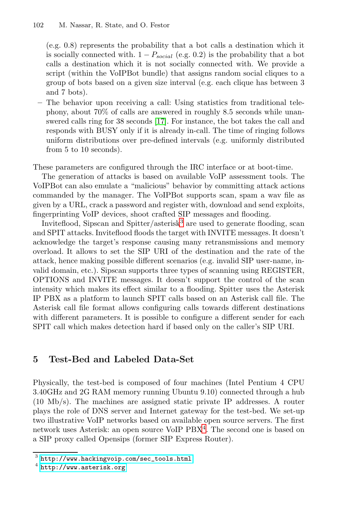(e.g. 0.8) rep[res](#page-9-8)ents the probability that a bot calls a destination which it is socially connected with.  $1 - P_{social}$  (e.g. 0.2) is the probability that a bot calls a destination which it is not socially connected with. We provide a script (within the VoIPBot bundle) that assigns random social cliques to a group of bots based on a given size interval (e.g. each clique has between 3 and 7 bots).

The behavior upon receiving a call: Using statistics from traditional telephony, about 70% of calls are answered in roughly 8.5 seconds while unanswered calls ring for 38 seconds [17]. For instance, the bot takes the call and responds with BUSY only if it is already in-call. The time of ringing follows uniform distributions over pre-defined intervals (e.g. uniformly distributed from 5 to 10 second[s\)](#page-5-0).

These parameters are configured through the IRC interface or at boot-time.

The generation of attacks is based on available VoIP assessment tools. The VoIPBot can also emulate a "malicious" behavior by committing attack actions commanded by the manager. The VoIPBot supports scan, spam a wav file as given by a URL, crack a password and register with, download and send exploits, fingerprinting VoIP devices, shoot crafted SIP messages and flooding.

Inviteflood, Sipscan and Spitter/asterisk<sup>3</sup> are used to generate flooding, scan and SPIT attacks. Inviteflood floods the target with INVITE messages. It doesn't acknowledge the target's response causing many retransmissions and memory overload. It allows to set the SIP URI of the destination and the rate of the attack, hence making possible different scenarios (e.g. invalid SIP user-name, invalid domain, etc.). Sipscan supports three types of scanning using REGISTER, OPTIONS and INVITE messages. It doesn't support the control of the scan intensity which makes its effect similar to a flooding. Spitter uses the Asterisk IP PBX as a platform to launch SPIT calls based on an Asterisk call file. The Asterisk call file format allows configuring calls towards different destinations with different parameters. It is possible to configure a different sender for each SPIT call which makes detection hard if based only on the caller's SIP URI.

## **5 Test-Bed and Labe[le](#page-5-1)d Data-Set**

<span id="page-5-1"></span><span id="page-5-0"></span>[Physically, the test-bed is c](http://www.hackingvoip.com/sec_tools.html)omposed of four machines (Intel Pentium 4 CPU [3.40GHz](http://www.asterisk.org) and 2G RAM memory running Ubuntu 9.10) connected through a hub (10 Mb/s). The machines are assigned static private IP addresses. A router plays the role of DNS server and Internet gateway for the test-bed. We set-up two illustrative VoIP networks based on available open source servers. The first network uses Asterisk: an open source VoIP PBX<sup>4</sup>. The second one is based on a SIP proxy called Opensips (former SIP Express Router).

<sup>3</sup> http://www.hackingvoip.com/sec\_tools.html

<sup>4</sup> http://www.asterisk.org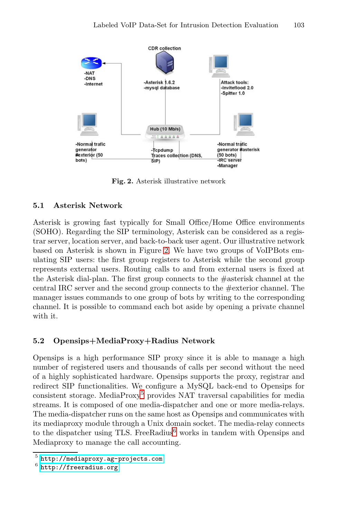

**Fig. 2.** Asterisk illustrative network

## **5.1 Asterisk Network**

Asterisk is growing fast typically for Small Office/Home Office environments (SOHO). Regarding the SIP terminology, Asterisk can be considered as a registrar server, location server, and back-to-back user agent. Our illustrative network based on Asterisk is shown in Figure 2. We have two groups of VoIPBots emulating SIP users: the first group registers to Asterisk while the second group represents external users. Routing calls to and from external users is fixed at the Asterisk dial-plan. The first group connects to the #asterisk channel at the central IRC server and the second group connects to the #exterior channel. The manager issues commands to one group of bots by writing to the corresponding channel. It is possible to command each bot aside by opening a private channel with it.

## **5.2 Opensips+MediaProxy+Radius Network**

<span id="page-6-0"></span>Opensips is a high p[er](#page-6-0)formance SIP proxy since it is able to manage a high number of registered users and thousands of calls per second without the need of a highly sophisticated hardware. Opensips supports the proxy, registrar and [redirect SIP functio](http://mediaproxy.ag-projects.com)nalities. We configure a MySQL back-end to Opensips for [consist](http://freeradius.org)ent storage. MediaProxy<sup>5</sup> provides NAT traversal capabilities for media streams. It is composed of one media-dispatcher and one or more media-relays. The media-dispatcher runs on the same host as Opensips and communicates with its mediaproxy module through a Unix domain socket. The media-relay connects to the dispatcher using TLS. FreeRadius<sup>6</sup> works in tandem with Opensips and Mediaproxy to manage the call accounting.

<sup>5</sup> http://mediaproxy.ag-projects.com

 $6$  http://freeradius.org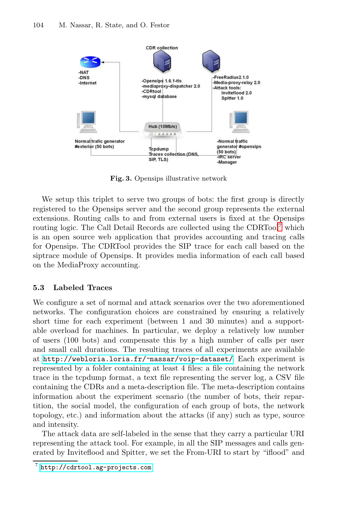

**Fig. 3.** Opensips illustrative network

We setup this triplet to serve two groups of bots: the first group is directly registered to the Opensips server and the second group represents the external extensions. Routing calls to and from external users is fixed at the Opensips routing logic. The Call Detail Records are collected using the CDRTool<sup>7</sup> which is an open source web application that provides accounting and tracing calls for Opensips. The CDRTool provides the SIP trace for each call based on the siptrace module of Opensips. It provides media information of each call based on the MediaProxy accounting.

## **[5.3 Labeled Traces](http://webloria.loria.fr/~nassar/voip-dataset/)**

We configure a set of normal and attack scenarios over the two aforementioned networks. The configuration choices are constrained by ensuring a relatively short time for each experiment (between 1 and 30 minutes) and a supportable overload for machines. In particular, we deploy a relatively low number of users (100 bots) and compensate this by a high number of calls per user and small call durations. The resulting traces of all experiments are available at http://webloria.loria.fr/~nassar/voip-dataset/. Each experiment is represented by a folder containing at least 4 files: a file containing the network trace in the tcpdump format, a text file representing the server log, a CSV file containing the CDRs and a meta-description file. The meta-description contains [information abo](http://cdrtool.ag-projects.com)ut the experiment scenario (the number of bots, their repartition, the social model, the configuration of each group of bots, the network topology, etc.) and information about the attacks (if any) such as type, source and intensity.

The attack data are self-labeled in the sense that they carry a particular URI representing the attack tool. For example, in all the SIP messages and calls generated by Inviteflood and Spitter, we set the From-URI to start by "iflood" and

<sup>7</sup> http://cdrtool.ag-projects.com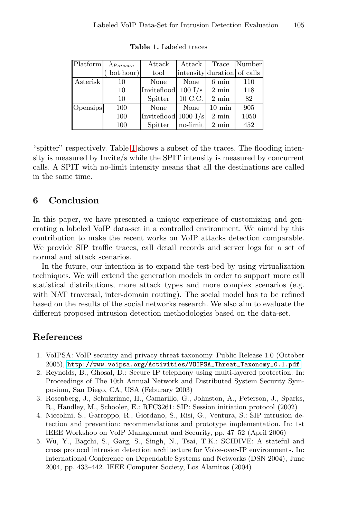| Platform | $\lambda_{Poisson}$ | Attack                 | Attack                      | Trace            | Number |
|----------|---------------------|------------------------|-----------------------------|------------------|--------|
|          | $bot \cdot hour)$   | tool                   | intensity duration of calls |                  |        |
| Asterisk | 10                  | None                   | None                        | $6 \text{ min}$  | 110    |
|          | 10                  | Inviteflood            | $100$ I/s                   | $2 \text{ min}$  | 118    |
|          | 10                  | Spitter                | 10 C.C.                     | $2 \text{ min}$  | 82     |
| Opensips | 100                 | None                   | None                        | $10 \text{ min}$ | 905    |
|          | 100                 | Inviteflood $1000$ I/s |                             | $2 \text{ min}$  | 1050   |
|          | 100                 | Spitter                | no-limit                    | $2 \text{ min}$  | 452    |

**Table 1.** Labeled traces

"spitter" respectively. Table 1 shows a subset of the traces. The flooding intensity is measured by Invite/s while the SPIT intensity is measured by concurrent calls. A SPIT with no-limit intensity means that all the destinations are called in the same time.

## **6 Conclusion**

In this paper, we have presented a unique experience of customizing and generating a labeled VoIP data-set in a controlled environment. We aimed by this contribution to make the recent works on VoIP attacks detection comparable. We provide SIP traffic traces, call detail records and server logs for a set of normal and attack scenarios.

<span id="page-8-0"></span>In the future, our intention is to expand the test-bed by using virtualization techniques. We will extend the generation models in order to support more call statistical distributions, more attack types and more complex scenarios (e.g. [with NAT traversal, inter-domain routing\). The social mod](http://www.voipsa.org/Activities/VOIPSA_Threat_Taxonomy_0.1.pdf)el has to be refined based on the results of the social networks research. We also aim to evaluate the different proposed intrusion detection methodologies based on the data-set.

## <span id="page-8-3"></span><span id="page-8-2"></span><span id="page-8-1"></span>**References**

- 1. VoIPSA: VoIP security and privacy threat taxonomy. Public Release 1.0 (October 2005), http://www.voipsa.org/Activities/VOIPSA\_Threat\_Taxonomy\_0.1.pdf
- 2. Reynolds, B., Ghosal, D.: Secure IP telephony using multi-layered protection. In: Proceedings of The 10th Annual Network and Distributed System Security Symposium, San Diego, CA, USA (Feburary 2003)
- 3. Rosenberg, J., Schulzrinne, H., Camarillo, G., Johnston, A., Peterson, J., Sparks, R., Handley, M., Schooler, E.: RFC3261: SIP: Session initiation protocol (2002)
- 4. Niccolini, S., Garroppo, R., Giordano, S., Risi, G., Ventura, S.: SIP intrusion detection and prevention: recommendations and prototype implementation. In: 1st IEEE Workshop on VoIP Management and Security, pp. 47–52 (April 2006)
- 5. Wu, Y., Bagchi, S., Garg, S., Singh, N., Tsai, T.K.: SCIDIVE: A stateful and cross protocol intrusion detection architecture for Voice-over-IP environments. In: International Conference on Dependable Systems and Networks (DSN 2004), June 2004, pp. 433–442. IEEE Computer Society, Los Alamitos (2004)